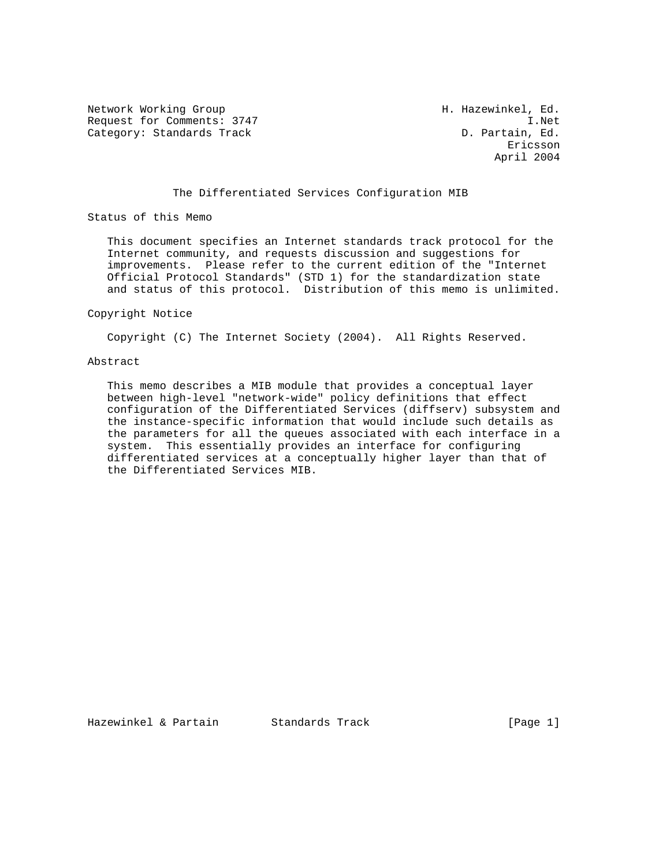Network Working Group Network Working Group H. Hazewinkel, Ed. Request for Comments: 3747 I.Net<br>Category: Standards Track (D. Partain, Ed. Category: Standards Track

eric and the contract of the contract of the contract of the contract of the contract of the contract of the contract of the contract of the contract of the contract of the contract of the contract of the contract of the c April 2004

## The Differentiated Services Configuration MIB

Status of this Memo

 This document specifies an Internet standards track protocol for the Internet community, and requests discussion and suggestions for improvements. Please refer to the current edition of the "Internet Official Protocol Standards" (STD 1) for the standardization state and status of this protocol. Distribution of this memo is unlimited.

#### Copyright Notice

Copyright (C) The Internet Society (2004). All Rights Reserved.

#### Abstract

 This memo describes a MIB module that provides a conceptual layer between high-level "network-wide" policy definitions that effect configuration of the Differentiated Services (diffserv) subsystem and the instance-specific information that would include such details as the parameters for all the queues associated with each interface in a system. This essentially provides an interface for configuring differentiated services at a conceptually higher layer than that of the Differentiated Services MIB.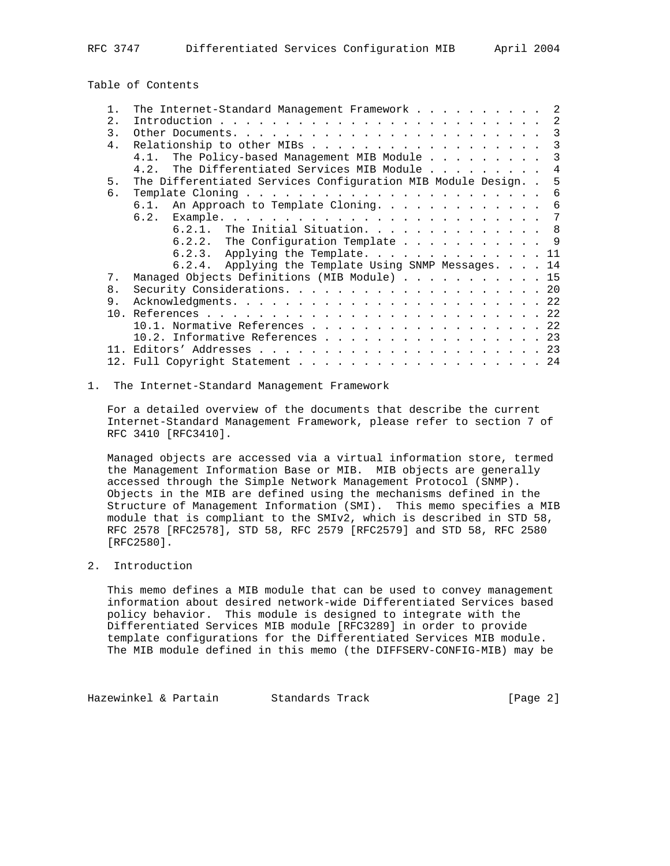Table of Contents

|  |  |  |  | -2                                                                                                                                                                                                                                                                                                                                                                                                                                                                                                                                                               |
|--|--|--|--|------------------------------------------------------------------------------------------------------------------------------------------------------------------------------------------------------------------------------------------------------------------------------------------------------------------------------------------------------------------------------------------------------------------------------------------------------------------------------------------------------------------------------------------------------------------|
|  |  |  |  | 2                                                                                                                                                                                                                                                                                                                                                                                                                                                                                                                                                                |
|  |  |  |  | 3                                                                                                                                                                                                                                                                                                                                                                                                                                                                                                                                                                |
|  |  |  |  | 3                                                                                                                                                                                                                                                                                                                                                                                                                                                                                                                                                                |
|  |  |  |  | 3                                                                                                                                                                                                                                                                                                                                                                                                                                                                                                                                                                |
|  |  |  |  | $\overline{4}$                                                                                                                                                                                                                                                                                                                                                                                                                                                                                                                                                   |
|  |  |  |  | 5                                                                                                                                                                                                                                                                                                                                                                                                                                                                                                                                                                |
|  |  |  |  | 6                                                                                                                                                                                                                                                                                                                                                                                                                                                                                                                                                                |
|  |  |  |  | 6                                                                                                                                                                                                                                                                                                                                                                                                                                                                                                                                                                |
|  |  |  |  | 7                                                                                                                                                                                                                                                                                                                                                                                                                                                                                                                                                                |
|  |  |  |  |                                                                                                                                                                                                                                                                                                                                                                                                                                                                                                                                                                  |
|  |  |  |  |                                                                                                                                                                                                                                                                                                                                                                                                                                                                                                                                                                  |
|  |  |  |  |                                                                                                                                                                                                                                                                                                                                                                                                                                                                                                                                                                  |
|  |  |  |  |                                                                                                                                                                                                                                                                                                                                                                                                                                                                                                                                                                  |
|  |  |  |  |                                                                                                                                                                                                                                                                                                                                                                                                                                                                                                                                                                  |
|  |  |  |  |                                                                                                                                                                                                                                                                                                                                                                                                                                                                                                                                                                  |
|  |  |  |  |                                                                                                                                                                                                                                                                                                                                                                                                                                                                                                                                                                  |
|  |  |  |  |                                                                                                                                                                                                                                                                                                                                                                                                                                                                                                                                                                  |
|  |  |  |  |                                                                                                                                                                                                                                                                                                                                                                                                                                                                                                                                                                  |
|  |  |  |  |                                                                                                                                                                                                                                                                                                                                                                                                                                                                                                                                                                  |
|  |  |  |  |                                                                                                                                                                                                                                                                                                                                                                                                                                                                                                                                                                  |
|  |  |  |  |                                                                                                                                                                                                                                                                                                                                                                                                                                                                                                                                                                  |
|  |  |  |  | The Internet-Standard Management Framework<br>Relationship to other MIBs<br>The Policy-based Management MIB Module<br>The Differentiated Services MIB Module<br>The Differentiated Services Configuration MIB Module Design. .<br>6.1. An Approach to Template Cloning.<br>6.2.1. The Initial Situation. 8<br>6.2.2. The Configuration Template 9<br>6.2.3. Applying the Template. 11<br>6.2.4. Applying the Template Using SNMP Messages. 14<br>Managed Objects Definitions (MIB Module) 15<br>10.1. Normative References 22<br>10.2. Informative References 23 |

#### 1. The Internet-Standard Management Framework

 For a detailed overview of the documents that describe the current Internet-Standard Management Framework, please refer to section 7 of RFC 3410 [RFC3410].

 Managed objects are accessed via a virtual information store, termed the Management Information Base or MIB. MIB objects are generally accessed through the Simple Network Management Protocol (SNMP). Objects in the MIB are defined using the mechanisms defined in the Structure of Management Information (SMI). This memo specifies a MIB module that is compliant to the SMIv2, which is described in STD 58, RFC 2578 [RFC2578], STD 58, RFC 2579 [RFC2579] and STD 58, RFC 2580 [RFC2580].

### 2. Introduction

 This memo defines a MIB module that can be used to convey management information about desired network-wide Differentiated Services based policy behavior. This module is designed to integrate with the Differentiated Services MIB module [RFC3289] in order to provide template configurations for the Differentiated Services MIB module. The MIB module defined in this memo (the DIFFSERV-CONFIG-MIB) may be

Hazewinkel & Partain Standards Track [Page 2]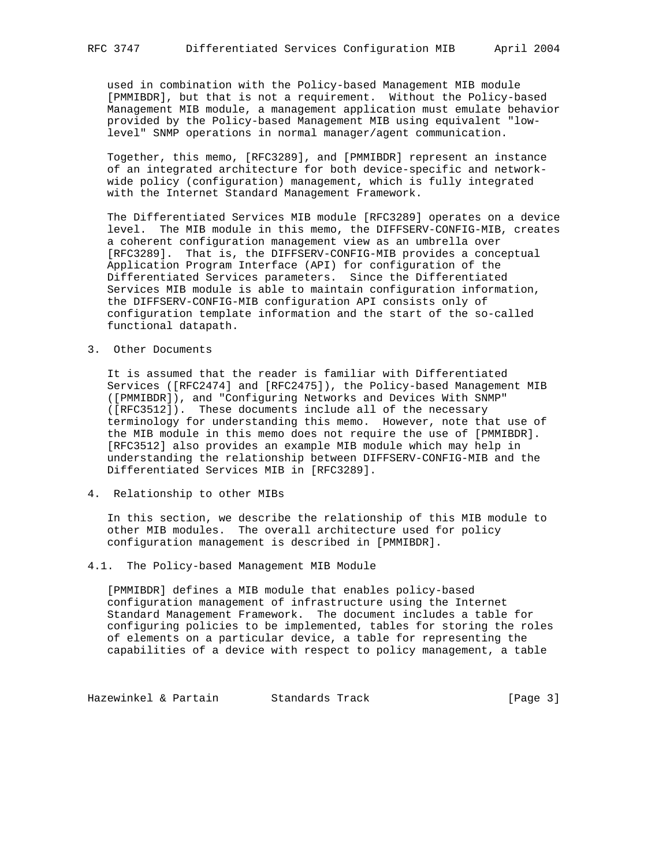used in combination with the Policy-based Management MIB module [PMMIBDR], but that is not a requirement. Without the Policy-based Management MIB module, a management application must emulate behavior provided by the Policy-based Management MIB using equivalent "low level" SNMP operations in normal manager/agent communication.

 Together, this memo, [RFC3289], and [PMMIBDR] represent an instance of an integrated architecture for both device-specific and network wide policy (configuration) management, which is fully integrated with the Internet Standard Management Framework.

 The Differentiated Services MIB module [RFC3289] operates on a device level. The MIB module in this memo, the DIFFSERV-CONFIG-MIB, creates a coherent configuration management view as an umbrella over [RFC3289]. That is, the DIFFSERV-CONFIG-MIB provides a conceptual Application Program Interface (API) for configuration of the Differentiated Services parameters. Since the Differentiated Services MIB module is able to maintain configuration information, the DIFFSERV-CONFIG-MIB configuration API consists only of configuration template information and the start of the so-called functional datapath.

3. Other Documents

 It is assumed that the reader is familiar with Differentiated Services ([RFC2474] and [RFC2475]), the Policy-based Management MIB ([PMMIBDR]), and "Configuring Networks and Devices With SNMP" ([RFC3512]). These documents include all of the necessary terminology for understanding this memo. However, note that use of the MIB module in this memo does not require the use of [PMMIBDR]. [RFC3512] also provides an example MIB module which may help in understanding the relationship between DIFFSERV-CONFIG-MIB and the Differentiated Services MIB in [RFC3289].

4. Relationship to other MIBs

 In this section, we describe the relationship of this MIB module to other MIB modules. The overall architecture used for policy configuration management is described in [PMMIBDR].

4.1. The Policy-based Management MIB Module

 [PMMIBDR] defines a MIB module that enables policy-based configuration management of infrastructure using the Internet Standard Management Framework. The document includes a table for configuring policies to be implemented, tables for storing the roles of elements on a particular device, a table for representing the capabilities of a device with respect to policy management, a table

Hazewinkel & Partain Standards Track Form (Page 3)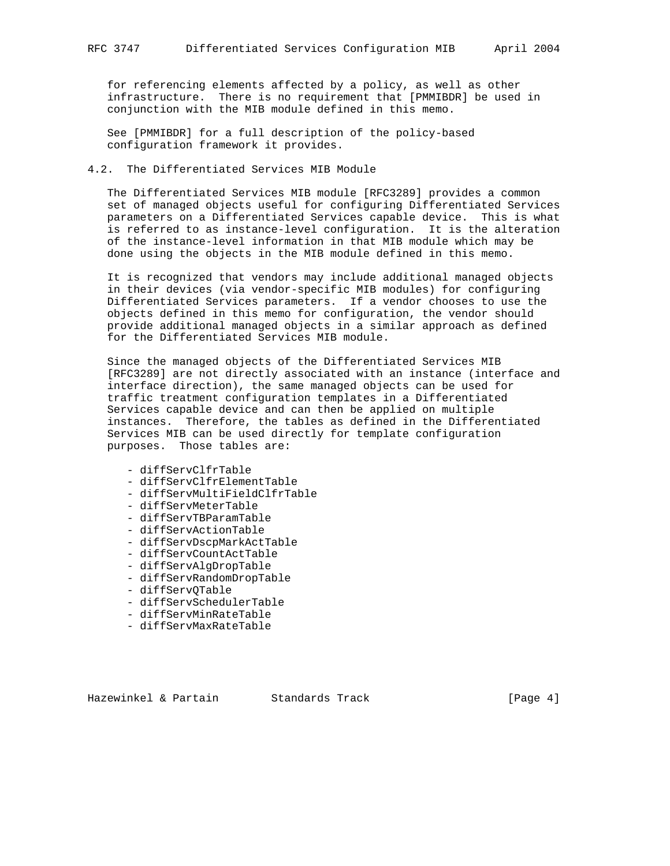for referencing elements affected by a policy, as well as other infrastructure. There is no requirement that [PMMIBDR] be used in conjunction with the MIB module defined in this memo.

 See [PMMIBDR] for a full description of the policy-based configuration framework it provides.

### 4.2. The Differentiated Services MIB Module

 The Differentiated Services MIB module [RFC3289] provides a common set of managed objects useful for configuring Differentiated Services parameters on a Differentiated Services capable device. This is what is referred to as instance-level configuration. It is the alteration of the instance-level information in that MIB module which may be done using the objects in the MIB module defined in this memo.

 It is recognized that vendors may include additional managed objects in their devices (via vendor-specific MIB modules) for configuring Differentiated Services parameters. If a vendor chooses to use the objects defined in this memo for configuration, the vendor should provide additional managed objects in a similar approach as defined for the Differentiated Services MIB module.

 Since the managed objects of the Differentiated Services MIB [RFC3289] are not directly associated with an instance (interface and interface direction), the same managed objects can be used for traffic treatment configuration templates in a Differentiated Services capable device and can then be applied on multiple instances. Therefore, the tables as defined in the Differentiated Services MIB can be used directly for template configuration purposes. Those tables are:

- diffServClfrTable
- diffServClfrElementTable
- diffServMultiFieldClfrTable
- diffServMeterTable
- diffServTBParamTable
- diffServActionTable
- diffServDscpMarkActTable
- diffServCountActTable
- diffServAlgDropTable
- diffServRandomDropTable
- diffServQTable
- diffServSchedulerTable
- diffServMinRateTable
- diffServMaxRateTable

Hazewinkel & Partain Standards Track Track [Page 4]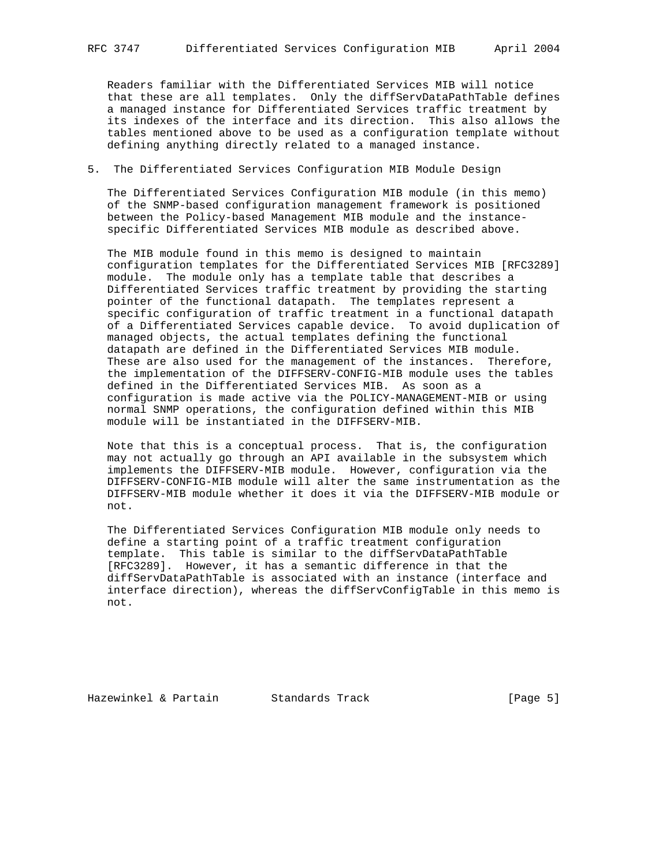Readers familiar with the Differentiated Services MIB will notice that these are all templates. Only the diffServDataPathTable defines a managed instance for Differentiated Services traffic treatment by its indexes of the interface and its direction. This also allows the tables mentioned above to be used as a configuration template without defining anything directly related to a managed instance.

### 5. The Differentiated Services Configuration MIB Module Design

 The Differentiated Services Configuration MIB module (in this memo) of the SNMP-based configuration management framework is positioned between the Policy-based Management MIB module and the instance specific Differentiated Services MIB module as described above.

 The MIB module found in this memo is designed to maintain configuration templates for the Differentiated Services MIB [RFC3289] module. The module only has a template table that describes a Differentiated Services traffic treatment by providing the starting pointer of the functional datapath. The templates represent a specific configuration of traffic treatment in a functional datapath of a Differentiated Services capable device. To avoid duplication of managed objects, the actual templates defining the functional datapath are defined in the Differentiated Services MIB module. These are also used for the management of the instances. Therefore, the implementation of the DIFFSERV-CONFIG-MIB module uses the tables defined in the Differentiated Services MIB. As soon as a configuration is made active via the POLICY-MANAGEMENT-MIB or using normal SNMP operations, the configuration defined within this MIB module will be instantiated in the DIFFSERV-MIB.

 Note that this is a conceptual process. That is, the configuration may not actually go through an API available in the subsystem which implements the DIFFSERV-MIB module. However, configuration via the DIFFSERV-CONFIG-MIB module will alter the same instrumentation as the DIFFSERV-MIB module whether it does it via the DIFFSERV-MIB module or not.

 The Differentiated Services Configuration MIB module only needs to define a starting point of a traffic treatment configuration template. This table is similar to the diffServDataPathTable [RFC3289]. However, it has a semantic difference in that the diffServDataPathTable is associated with an instance (interface and interface direction), whereas the diffServConfigTable in this memo is not.

Hazewinkel & Partain Standards Track [Page 5]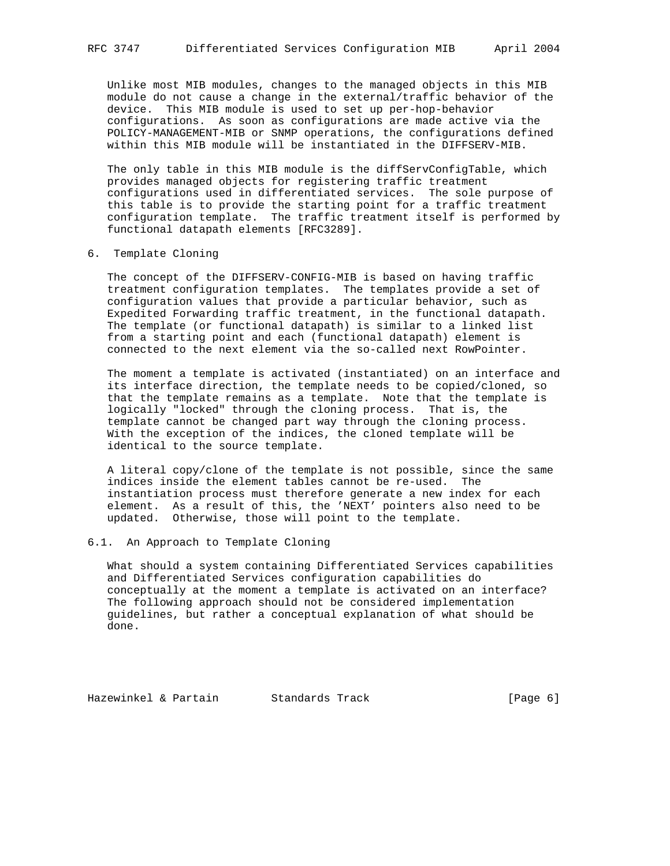Unlike most MIB modules, changes to the managed objects in this MIB module do not cause a change in the external/traffic behavior of the device. This MIB module is used to set up per-hop-behavior configurations. As soon as configurations are made active via the POLICY-MANAGEMENT-MIB or SNMP operations, the configurations defined within this MIB module will be instantiated in the DIFFSERV-MIB.

 The only table in this MIB module is the diffServConfigTable, which provides managed objects for registering traffic treatment configurations used in differentiated services. The sole purpose of this table is to provide the starting point for a traffic treatment configuration template. The traffic treatment itself is performed by functional datapath elements [RFC3289].

### 6. Template Cloning

 The concept of the DIFFSERV-CONFIG-MIB is based on having traffic treatment configuration templates. The templates provide a set of configuration values that provide a particular behavior, such as Expedited Forwarding traffic treatment, in the functional datapath. The template (or functional datapath) is similar to a linked list from a starting point and each (functional datapath) element is connected to the next element via the so-called next RowPointer.

 The moment a template is activated (instantiated) on an interface and its interface direction, the template needs to be copied/cloned, so that the template remains as a template. Note that the template is logically "locked" through the cloning process. That is, the template cannot be changed part way through the cloning process. With the exception of the indices, the cloned template will be identical to the source template.

 A literal copy/clone of the template is not possible, since the same indices inside the element tables cannot be re-used. The instantiation process must therefore generate a new index for each element. As a result of this, the 'NEXT' pointers also need to be updated. Otherwise, those will point to the template.

### 6.1. An Approach to Template Cloning

 What should a system containing Differentiated Services capabilities and Differentiated Services configuration capabilities do conceptually at the moment a template is activated on an interface? The following approach should not be considered implementation guidelines, but rather a conceptual explanation of what should be done.

Hazewinkel & Partain Standards Track [Page 6]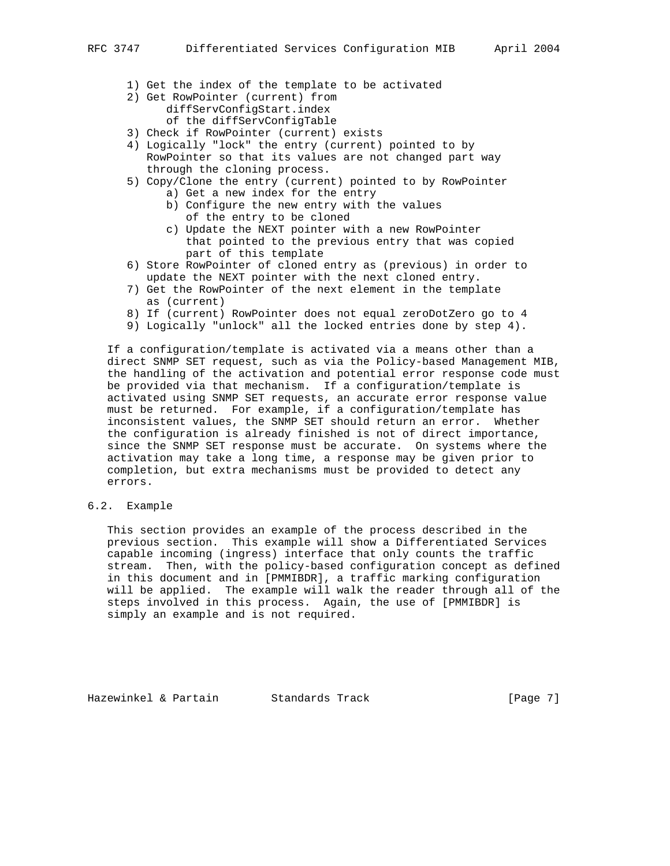- 1) Get the index of the template to be activated
- 2) Get RowPointer (current) from diffServConfigStart.index of the diffServConfigTable
- 3) Check if RowPointer (current) exists
- 4) Logically "lock" the entry (current) pointed to by RowPointer so that its values are not changed part way through the cloning process.
- 5) Copy/Clone the entry (current) pointed to by RowPointer
	- a) Get a new index for the entry
	- b) Configure the new entry with the values of the entry to be cloned
	- c) Update the NEXT pointer with a new RowPointer that pointed to the previous entry that was copied part of this template
- 6) Store RowPointer of cloned entry as (previous) in order to update the NEXT pointer with the next cloned entry.
- 7) Get the RowPointer of the next element in the template as (current)
- 8) If (current) RowPointer does not equal zeroDotZero go to 4
- 9) Logically "unlock" all the locked entries done by step 4).

 If a configuration/template is activated via a means other than a direct SNMP SET request, such as via the Policy-based Management MIB, the handling of the activation and potential error response code must be provided via that mechanism. If a configuration/template is activated using SNMP SET requests, an accurate error response value must be returned. For example, if a configuration/template has inconsistent values, the SNMP SET should return an error. Whether the configuration is already finished is not of direct importance, since the SNMP SET response must be accurate. On systems where the activation may take a long time, a response may be given prior to completion, but extra mechanisms must be provided to detect any errors.

6.2. Example

 This section provides an example of the process described in the previous section. This example will show a Differentiated Services capable incoming (ingress) interface that only counts the traffic stream. Then, with the policy-based configuration concept as defined in this document and in [PMMIBDR], a traffic marking configuration will be applied. The example will walk the reader through all of the steps involved in this process. Again, the use of [PMMIBDR] is simply an example and is not required.

Hazewinkel & Partain Standards Track [Page 7]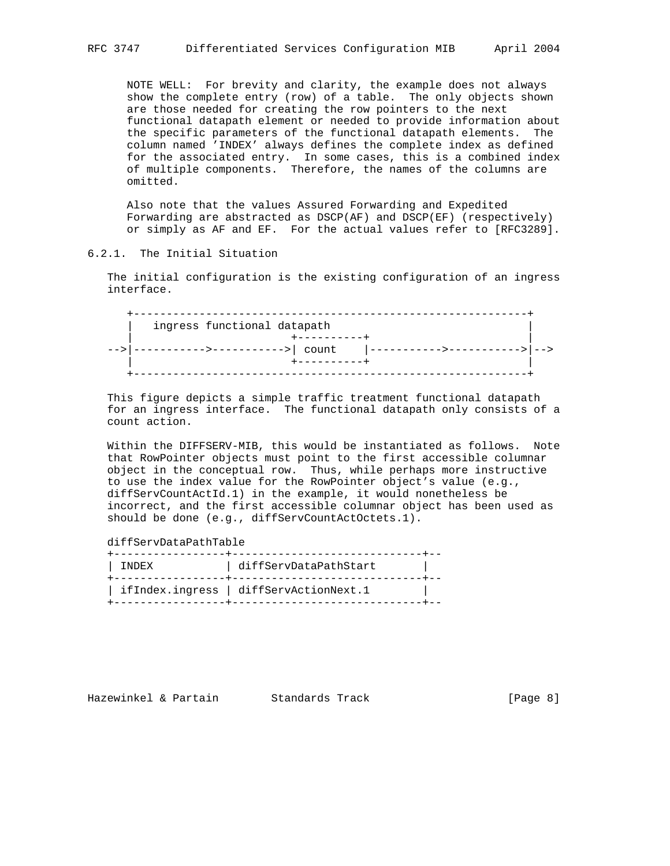NOTE WELL: For brevity and clarity, the example does not always show the complete entry (row) of a table. The only objects shown are those needed for creating the row pointers to the next functional datapath element or needed to provide information about the specific parameters of the functional datapath elements. The column named 'INDEX' always defines the complete index as defined for the associated entry. In some cases, this is a combined index of multiple components. Therefore, the names of the columns are omitted.

 Also note that the values Assured Forwarding and Expedited Forwarding are abstracted as DSCP(AF) and DSCP(EF) (respectively) or simply as AF and EF. For the actual values refer to [RFC3289].

### 6.2.1. The Initial Situation

 The initial configuration is the existing configuration of an ingress interface.

| ingress functional datapath |  |
|-----------------------------|--|
| . <u>.</u> .                |  |
| --->----------->  count     |  |
| $+ - - - - - - - - -$       |  |
|                             |  |

 This figure depicts a simple traffic treatment functional datapath for an ingress interface. The functional datapath only consists of a count action.

 Within the DIFFSERV-MIB, this would be instantiated as follows. Note that RowPointer objects must point to the first accessible columnar object in the conceptual row. Thus, while perhaps more instructive to use the index value for the RowPointer object's value (e.g., diffServCountActId.1) in the example, it would nonetheless be incorrect, and the first accessible columnar object has been used as should be done (e.g., diffServCountActOctets.1).

diffServDataPathTable

| <b>TNDEX</b> | diffServDataPathStart                  |  |
|--------------|----------------------------------------|--|
|              | ifIndex.ingress   diffServActionNext.1 |  |

Hazewinkel & Partain Standards Track Track [Page 8]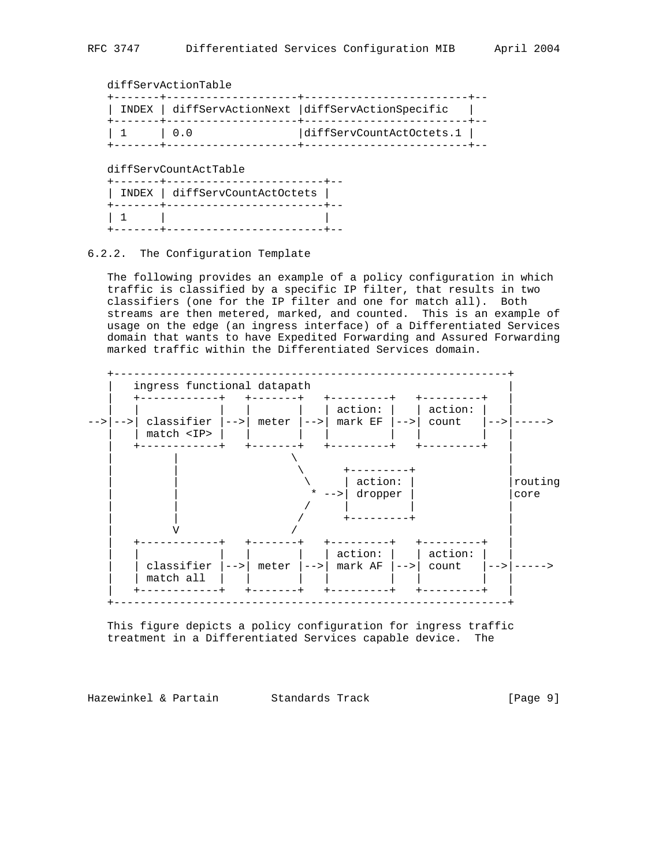# diffServActionTable

|                 | INDEX diffServActionNext diffServActionSpecific |
|-----------------|-------------------------------------------------|
| $1\quad1\quad1$ | diffServCountActOctets.1                        |

#### diffServCountActTable

| .<br>INDEX diffServCountActOctets  <br>------------ |  |
|-----------------------------------------------------|--|
|                                                     |  |

## 6.2.2. The Configuration Template

 The following provides an example of a policy configuration in which traffic is classified by a specific IP filter, that results in two classifiers (one for the IP filter and one for match all). Both streams are then metered, marked, and counted. This is an example of usage on the edge (an ingress interface) of a Differentiated Services domain that wants to have Expedited Forwarding and Assured Forwarding marked traffic within the Differentiated Services domain.



 This figure depicts a policy configuration for ingress traffic treatment in a Differentiated Services capable device. The

Hazewinkel & Partain Standards Track [Page 9]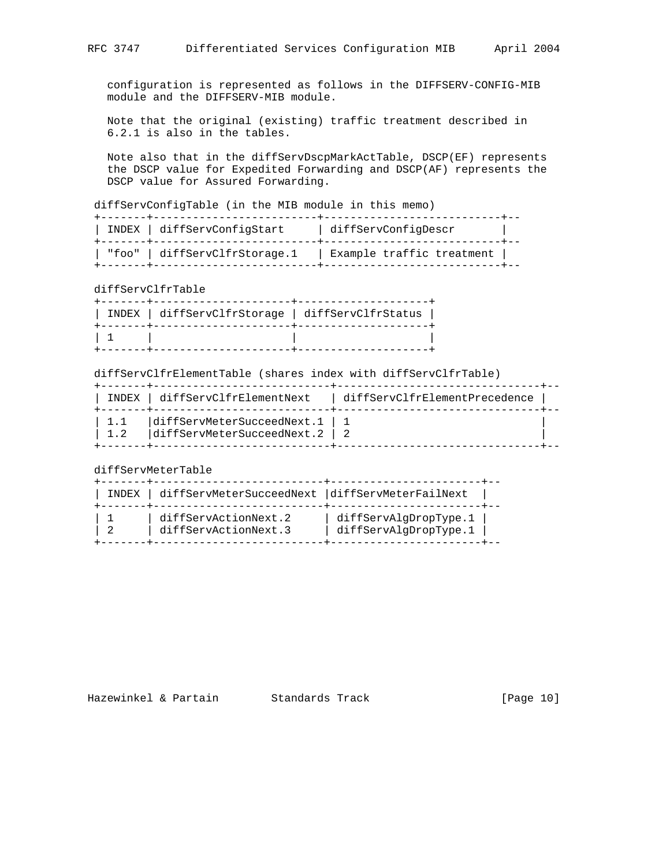configuration is represented as follows in the DIFFSERV-CONFIG-MIB module and the DIFFSERV-MIB module.

 Note that the original (existing) traffic treatment described in 6.2.1 is also in the tables.

 Note also that in the diffServDscpMarkActTable, DSCP(EF) represents the DSCP value for Expedited Forwarding and DSCP(AF) represents the DSCP value for Assured Forwarding.

diffServConfigTable (in the MIB module in this memo)

| INDEX diffServConfigStart<br>- - - - - - + - - - - - - - | diffServConfiqDescr       |  |
|----------------------------------------------------------|---------------------------|--|
| "foo"   diffServClfrStorage.1                            | Example traffic treatment |  |

diffServClfrTable

| INDEX diffServClfrStorage diffServClfrStatus |  |
|----------------------------------------------|--|
|                                              |  |

diffServClfrElementTable (shares index with diffServClfrTable)

|     | INDEX diffServClfrElementNext                                           | diffServClfrElementPrecedence |  |
|-----|-------------------------------------------------------------------------|-------------------------------|--|
| 1.2 | 1.1   diffServMeterSucceedNext.1   1<br> diffServMeterSucceedNext.2   2 |                               |  |

diffServMeterTable

| INDEX diffServMeterSucceedNext diffServMeterFailNext |                                                |  |
|------------------------------------------------------|------------------------------------------------|--|
| diffServActionNext.2<br>diffServActionNext.3         | diffServAlgDropType.1<br>diffServAlqDropType.1 |  |

Hazewinkel & Partain Standards Track [Page 10]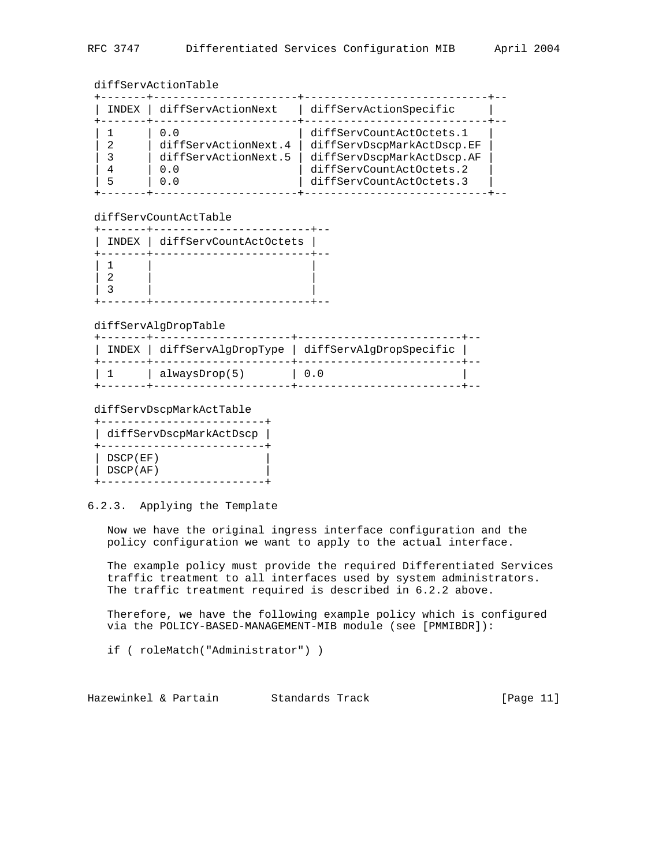## diffServActionTable

| INDEX | diffServActionNext                                                | diffServActionSpecific                                                                                                                       |
|-------|-------------------------------------------------------------------|----------------------------------------------------------------------------------------------------------------------------------------------|
|       | 0.0<br>diffServActionNext.4<br>diffServActionNext.5<br>0.0<br>0.0 | diffServCountActOctets.1<br>diffServDscpMarkActDscp.EF<br>diffServDscpMarkActDscp.AF<br>diffServCountActOctets.2<br>diffServCountActOctets.3 |

## diffServCountActTable

| INDEX   diffServCountActOctets |  |
|--------------------------------|--|
|                                |  |
|                                |  |
|                                |  |
|                                |  |
|                                |  |
|                                |  |
|                                |  |
|                                |  |

#### diffServAlgDropTable

|               | INDEX diffServAlqDropType diffServAlqDropSpecific |  |
|---------------|---------------------------------------------------|--|
| alwaysDrop(5) | $\begin{array}{cc} \cdot & 0 \end{array}$         |  |

#### diffServDscpMarkActTable

| diffServDscpMarkActDscp |
|-------------------------|
|                         |
| DSCP(EF)                |
| DSCP(AF)                |
|                         |

# 6.2.3. Applying the Template

 Now we have the original ingress interface configuration and the policy configuration we want to apply to the actual interface.

 The example policy must provide the required Differentiated Services traffic treatment to all interfaces used by system administrators. The traffic treatment required is described in 6.2.2 above.

 Therefore, we have the following example policy which is configured via the POLICY-BASED-MANAGEMENT-MIB module (see [PMMIBDR]):

if ( roleMatch("Administrator") )

Hazewinkel & Partain Standards Track [Page 11]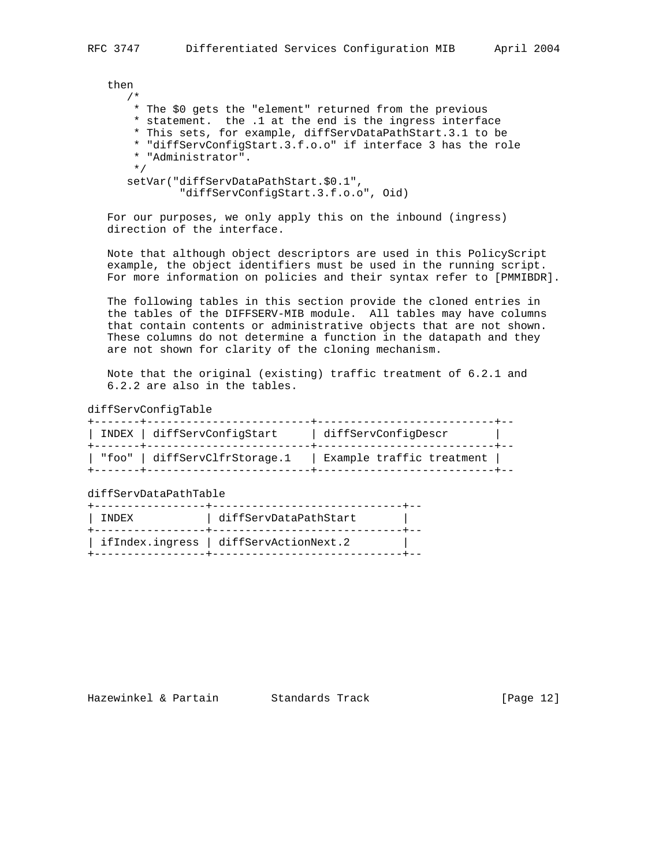then /\* \* The \$0 gets the "element" returned from the previous \* statement. the .1 at the end is the ingress interface \* This sets, for example, diffServDataPathStart.3.1 to be \* "diffServConfigStart.3.f.o.o" if interface 3 has the role \* "Administrator". \*/ setVar("diffServDataPathStart.\$0.1", "diffServConfigStart.3.f.o.o", Oid)

 For our purposes, we only apply this on the inbound (ingress) direction of the interface.

 Note that although object descriptors are used in this PolicyScript example, the object identifiers must be used in the running script. For more information on policies and their syntax refer to [PMMIBDR].

 The following tables in this section provide the cloned entries in the tables of the DIFFSERV-MIB module. All tables may have columns that contain contents or administrative objects that are not shown. These columns do not determine a function in the datapath and they are not shown for clarity of the cloning mechanism.

 Note that the original (existing) traffic treatment of 6.2.1 and 6.2.2 are also in the tables.

diffServConfigTable

| INDEX diffServConfigStart<br>+-------+------------------ | diffServConfiqDescr       |  |
|----------------------------------------------------------|---------------------------|--|
| "foo"   diffServClfrStorage.1                            | Example traffic treatment |  |

diffServDataPathTable

| TNDEX | diffServDataPathStart                |
|-------|--------------------------------------|
|       | ifIndex.ingress diffServActionNext.2 |

Hazewinkel & Partain Standards Track [Page 12]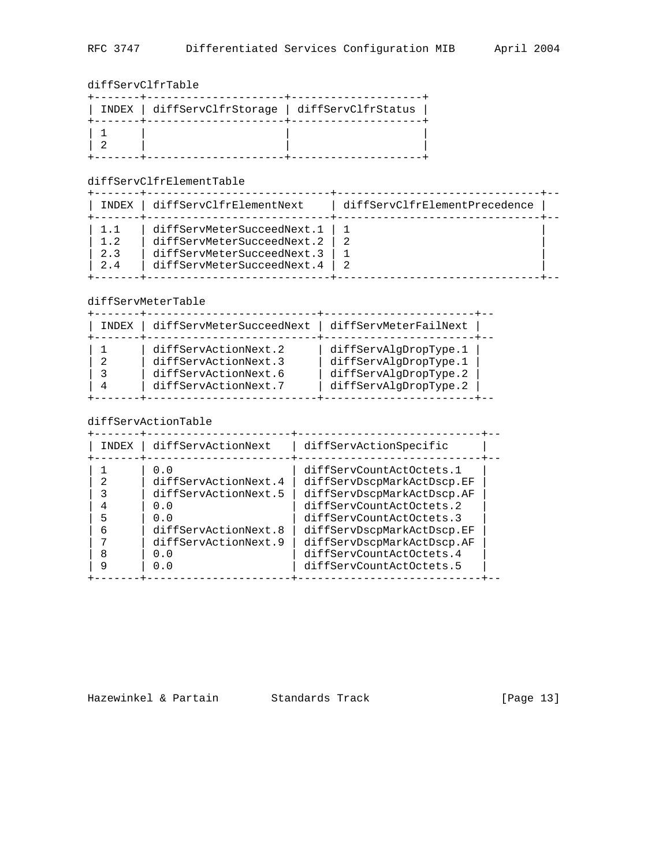diffServClfrTable

| INDEX diffServClfrStorage diffServClfrStatus |  |
|----------------------------------------------|--|
|                                              |  |

# diffServClfrElementTable

| INDEX                    | diffServClfrElementNext                                                                                              | diffServClfrElementPrecedence |  |
|--------------------------|----------------------------------------------------------------------------------------------------------------------|-------------------------------|--|
| 1 1<br>1.2<br>2.3<br>2.4 | diffServMeterSucceedNext.1<br>diffServMeterSucceedNext.2<br>diffServMeterSucceedNext.3<br>diffServMeterSucceedNext.4 |                               |  |

# diffServMeterTable

| INDEX | diffServMeterSucceedNext                                                                     | diffServMeterFailNext                                                                            |
|-------|----------------------------------------------------------------------------------------------|--------------------------------------------------------------------------------------------------|
|       | diffServActionNext.2<br>diffServActionNext.3<br>diffServActionNext.6<br>diffServActionNext.7 | diffServAlqDropType.1<br>diffServAlqDropType.1<br>diffServAlqDropType.2<br>diffServAlqDropType.2 |

# diffServActionTable

| <b>TNDEX</b> | diffServActionNext                                                                                                                | diffServActionSpecific                                                                                                                                                                                                                                           |  |
|--------------|-----------------------------------------------------------------------------------------------------------------------------------|------------------------------------------------------------------------------------------------------------------------------------------------------------------------------------------------------------------------------------------------------------------|--|
| ⌒<br>6       | 0.O<br>diffServActionNext.4<br>diffServActionNext.5<br>0.0<br>0.0<br>diffServActionNext.8<br>diffServActionNext.9<br>0.0<br>ი . ი | diffServCountActOctets.1<br>diffServDscpMarkActDscp.EF<br>diffServDscpMarkActDscp.AF<br>diffServCountActOctets.2<br>diffServCountActOctets.3<br>diffServDscpMarkActDscp.EF<br>diffServDscpMarkActDscp.AF<br>diffServCountActOctets.4<br>diffServCountActOctets.5 |  |
|              |                                                                                                                                   |                                                                                                                                                                                                                                                                  |  |

Hazewinkel & Partain Standards Track [Page 13]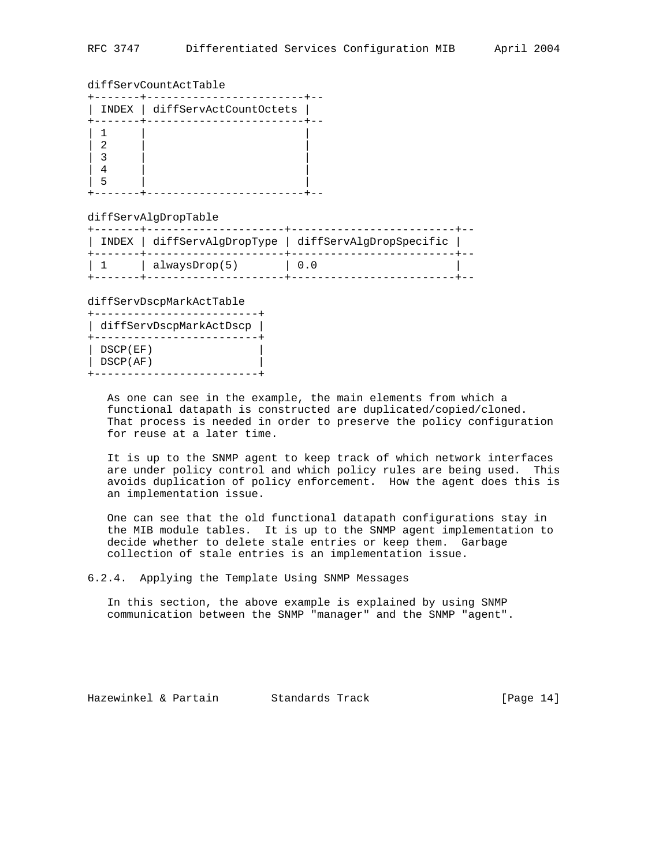### diffServCountActTable

|   | INDEX   diffServActCountOctets |  |
|---|--------------------------------|--|
| 2 |                                |  |

#### diffServAlgDropTable

|         |               | INDEX diffServAlgDropType diffServAlgDropSpecific |  |
|---------|---------------|---------------------------------------------------|--|
| $\pm$ 1 | alwaysDrop(5) | $\begin{matrix} \ 0.0 \end{matrix}$               |  |

diffServDscpMarkActTable

| diffServDscpMarkActDscp |  |
|-------------------------|--|
|                         |  |
| DSCP(EF)                |  |
| DSCP(AF)                |  |
|                         |  |

 As one can see in the example, the main elements from which a functional datapath is constructed are duplicated/copied/cloned. That process is needed in order to preserve the policy configuration for reuse at a later time.

 It is up to the SNMP agent to keep track of which network interfaces are under policy control and which policy rules are being used. This avoids duplication of policy enforcement. How the agent does this is an implementation issue.

 One can see that the old functional datapath configurations stay in the MIB module tables. It is up to the SNMP agent implementation to decide whether to delete stale entries or keep them. Garbage collection of stale entries is an implementation issue.

6.2.4. Applying the Template Using SNMP Messages

 In this section, the above example is explained by using SNMP communication between the SNMP "manager" and the SNMP "agent".

Hazewinkel & Partain Standards Track [Page 14]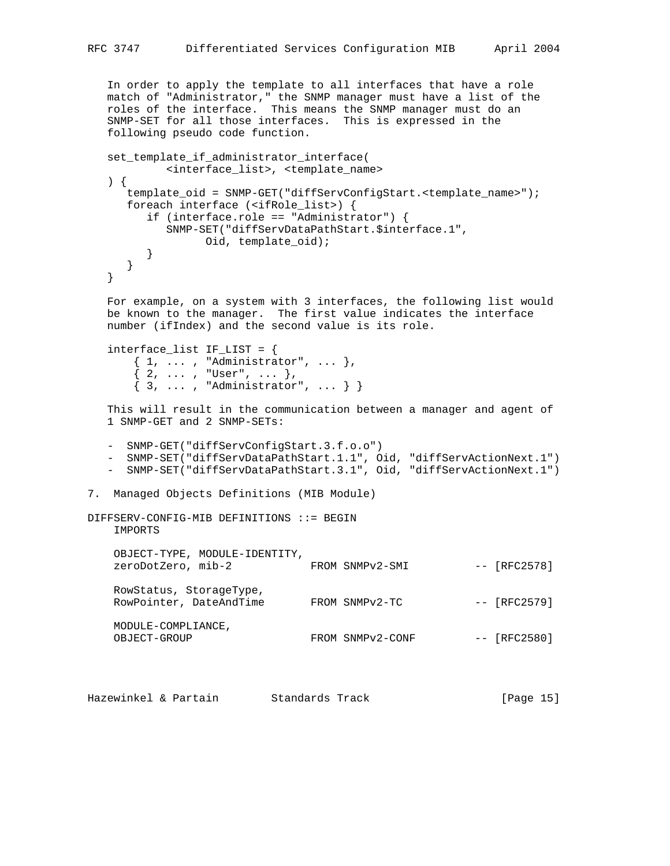In order to apply the template to all interfaces that have a role match of "Administrator," the SNMP manager must have a list of the roles of the interface. This means the SNMP manager must do an SNMP-SET for all those interfaces. This is expressed in the following pseudo code function.

```
 set_template_if_administrator_interface(
            <interface_list>, <template_name>
    ) {
      template_oid = SNMP-GET("diffServConfigStart.<template_name>");
      foreach interface (<ifRole_list>) {
         if (interface.role == "Administrator") {
            SNMP-SET("diffServDataPathStart.$interface.1",
                 Oid, template_oid);
         }
      }
    }
    For example, on a system with 3 interfaces, the following list would
   be known to the manager. The first value indicates the interface
   number (ifIndex) and the second value is its role.
   interface\_list IF_LIST = { { 1, ... , "Administrator", ... },
\{ 2, \ldots , "User", ... \},\{3, ..., , "Administrator", ... \} This will result in the communication between a manager and agent of
    1 SNMP-GET and 2 SNMP-SETs:
    - SNMP-GET("diffServConfigStart.3.f.o.o")
    - SNMP-SET("diffServDataPathStart.1.1", Oid, "diffServActionNext.1")
    - SNMP-SET("diffServDataPathStart.3.1", Oid, "diffServActionNext.1")
7. Managed Objects Definitions (MIB Module)
DIFFSERV-CONFIG-MIB DEFINITIONS ::= BEGIN
    IMPORTS
    OBJECT-TYPE, MODULE-IDENTITY,
   zeroDotZero, mib-2 FROM SNMPv2-SMI -- [RFC2578]
    RowStatus, StorageType,
   RowPointer, DateAndTime FROM SNMPv2-TC -- [RFC2579]
    MODULE-COMPLIANCE,
   OBJECT-GROUP FROM SNMPv2-CONF -- [RFC2580]
```
Hazewinkel & Partain Standards Track [Page 15]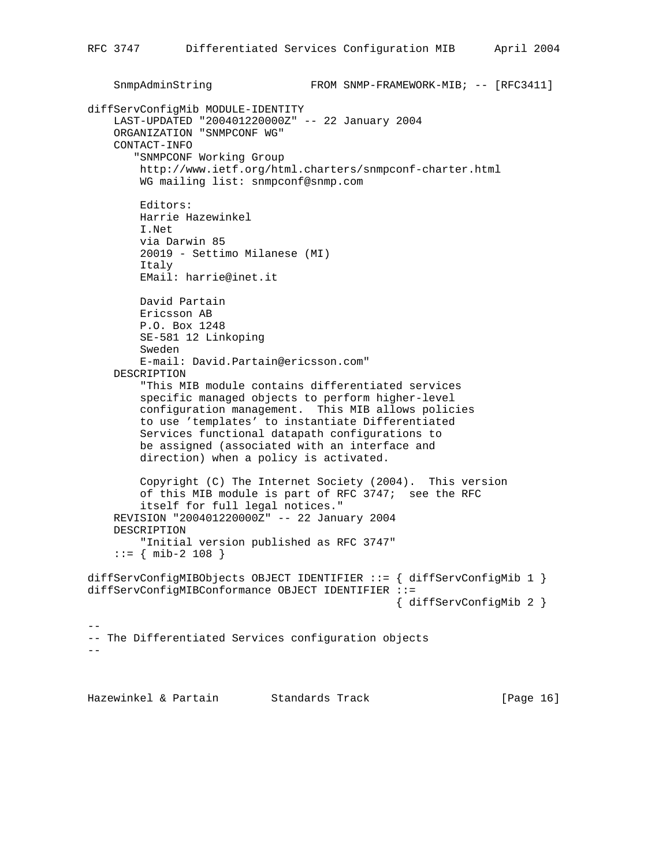```
SnmpAdminString FROM SNMP-FRAMEWORK-MIB; -- [RFC3411]
diffServConfigMib MODULE-IDENTITY
     LAST-UPDATED "200401220000Z" -- 22 January 2004
     ORGANIZATION "SNMPCONF WG"
     CONTACT-INFO
        "SNMPCONF Working Group
         http://www.ietf.org/html.charters/snmpconf-charter.html
         WG mailing list: snmpconf@snmp.com
         Editors:
         Harrie Hazewinkel
         I.Net
         via Darwin 85
         20019 - Settimo Milanese (MI)
         Italy
         EMail: harrie@inet.it
         David Partain
         Ericsson AB
         P.O. Box 1248
         SE-581 12 Linkoping
         Sweden
         E-mail: David.Partain@ericsson.com"
     DESCRIPTION
         "This MIB module contains differentiated services
         specific managed objects to perform higher-level
         configuration management. This MIB allows policies
         to use 'templates' to instantiate Differentiated
         Services functional datapath configurations to
         be assigned (associated with an interface and
         direction) when a policy is activated.
         Copyright (C) The Internet Society (2004). This version
         of this MIB module is part of RFC 3747; see the RFC
         itself for full legal notices."
     REVISION "200401220000Z" -- 22 January 2004
     DESCRIPTION
         "Initial version published as RFC 3747"
    ::= { mib-2 108 }
diffServConfigMIBObjects OBJECT IDENTIFIER ::= { diffServConfigMib 1 }
diffServConfigMIBConformance OBJECT IDENTIFIER ::=
                                                { diffServConfigMib 2 }
--
-- The Differentiated Services configuration objects
-
```
Hazewinkel & Partain Standards Track [Page 16]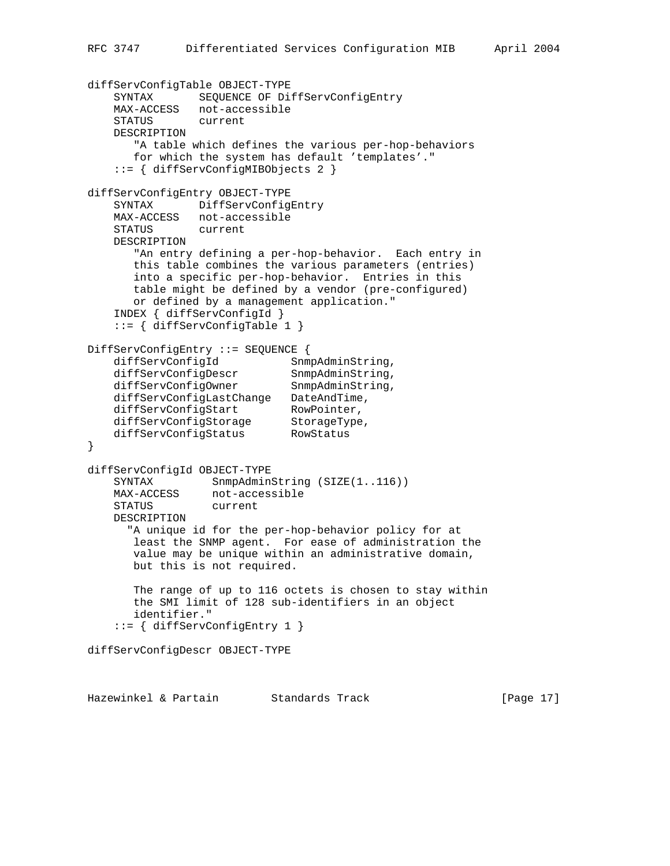```
diffServConfigTable OBJECT-TYPE
    SYNTAX SEQUENCE OF DiffServConfigEntry
    MAX-ACCESS not-accessible
    STATUS current
    DESCRIPTION
       "A table which defines the various per-hop-behaviors
       for which the system has default 'templates'."
     ::= { diffServConfigMIBObjects 2 }
diffServConfigEntry OBJECT-TYPE
    SYNTAX DiffServConfigEntry
    MAX-ACCESS not-accessible
    STATUS current
    DESCRIPTION
       "An entry defining a per-hop-behavior. Each entry in
       this table combines the various parameters (entries)
       into a specific per-hop-behavior. Entries in this
       table might be defined by a vendor (pre-configured)
       or defined by a management application."
     INDEX { diffServConfigId }
     ::= { diffServConfigTable 1 }
DiffServConfigEntry ::= SEQUENCE {
diffServConfigId SnmpAdminString,
diffServConfigDescr SnmpAdminString,
diffServConfigOwner SnmpAdminString,
 diffServConfigLastChange DateAndTime,
diffServConfigStart RowPointer,
 diffServConfigStorage StorageType,
 diffServConfigStatus RowStatus
}
diffServConfigId OBJECT-TYPE
   SYNTAX SnmpAdminString (SIZE(1..116))
 MAX-ACCESS not-accessible
 STATUS current
    DESCRIPTION
      "A unique id for the per-hop-behavior policy for at
       least the SNMP agent. For ease of administration the
       value may be unique within an administrative domain,
       but this is not required.
       The range of up to 116 octets is chosen to stay within
       the SMI limit of 128 sub-identifiers in an object
       identifier."
     ::= { diffServConfigEntry 1 }
diffServConfigDescr OBJECT-TYPE
```
Hazewinkel & Partain Standards Track [Page 17]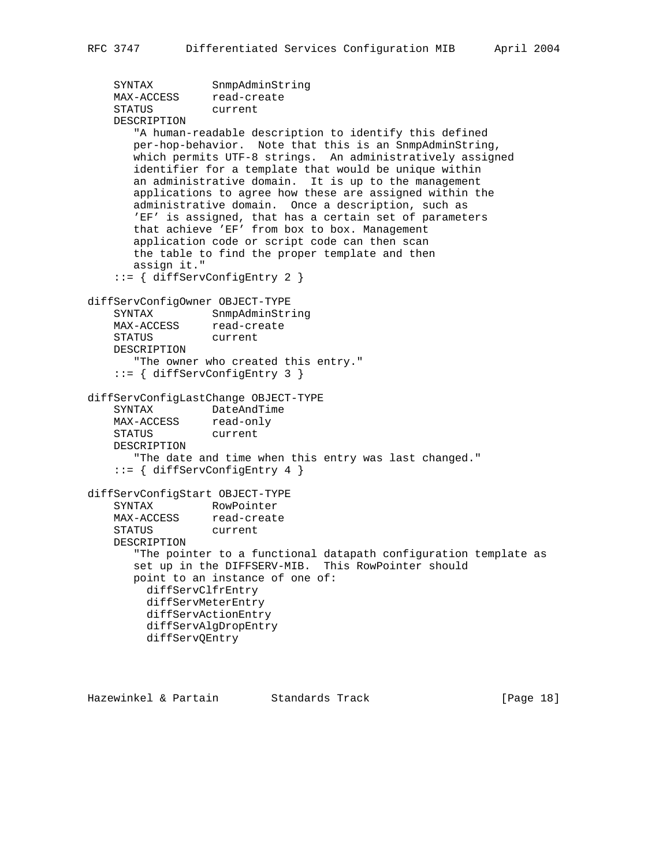```
 SYNTAX SnmpAdminString
MAX-ACCESS read-create
 STATUS current
    DESCRIPTION
        "A human-readable description to identify this defined
       per-hop-behavior. Note that this is an SnmpAdminString,
       which permits UTF-8 strings. An administratively assigned
       identifier for a template that would be unique within
       an administrative domain. It is up to the management
       applications to agree how these are assigned within the
       administrative domain. Once a description, such as
       'EF' is assigned, that has a certain set of parameters
       that achieve 'EF' from box to box. Management
       application code or script code can then scan
       the table to find the proper template and then
       assign it."
     ::= { diffServConfigEntry 2 }
diffServConfigOwner OBJECT-TYPE
    SYNTAX SnmpAdminString
MAX-ACCESS read-create
 STATUS current
    DESCRIPTION
       "The owner who created this entry."
     ::= { diffServConfigEntry 3 }
diffServConfigLastChange OBJECT-TYPE
   SYNTAX DateAndTime<br>MAX-ACCESS read-only
   MAX-ACCESS read-on<br>STATUS current
   STATUS
    DESCRIPTION
       "The date and time when this entry was last changed."
     ::= { diffServConfigEntry 4 }
diffServConfigStart OBJECT-TYPE
    SYNTAX RowPointer
MAX-ACCESS read-create
 STATUS current
    DESCRIPTION
       "The pointer to a functional datapath configuration template as
       set up in the DIFFSERV-MIB. This RowPointer should
       point to an instance of one of:
         diffServClfrEntry
         diffServMeterEntry
         diffServActionEntry
         diffServAlgDropEntry
         diffServQEntry
```
Hazewinkel & Partain Standards Track [Page 18]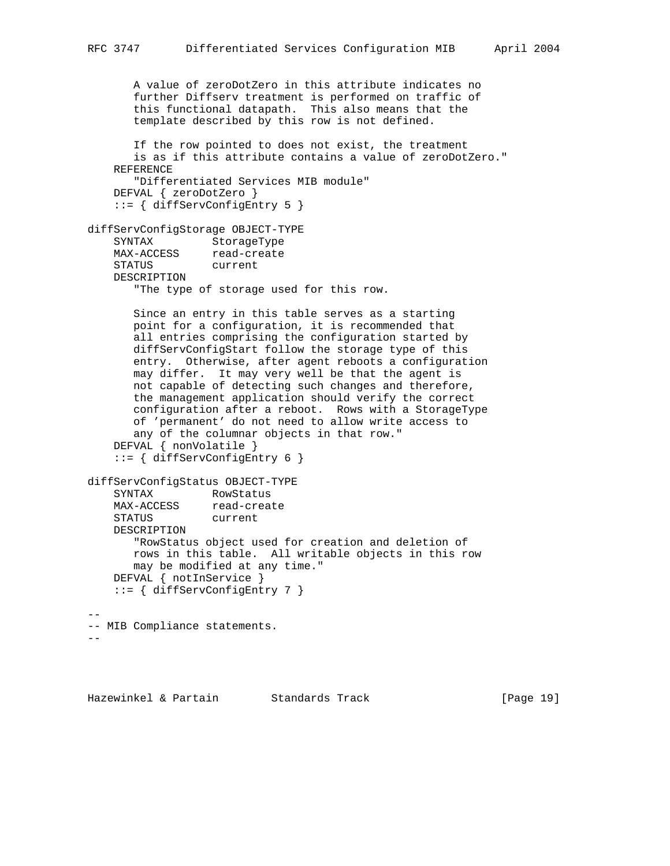A value of zeroDotZero in this attribute indicates no further Diffserv treatment is performed on traffic of this functional datapath. This also means that the template described by this row is not defined. If the row pointed to does not exist, the treatment is as if this attribute contains a value of zeroDotZero." REFERENCE "Differentiated Services MIB module" DEFVAL { zeroDotZero } ::= { diffServConfigEntry 5 } diffServConfigStorage OBJECT-TYPE SYNTAX StorageType MAX-ACCESS read-create STATUS current DESCRIPTION "The type of storage used for this row. Since an entry in this table serves as a starting point for a configuration, it is recommended that all entries comprising the configuration started by diffServConfigStart follow the storage type of this entry. Otherwise, after agent reboots a configuration may differ. It may very well be that the agent is not capable of detecting such changes and therefore, the management application should verify the correct configuration after a reboot. Rows with a StorageType of 'permanent' do not need to allow write access to any of the columnar objects in that row." DEFVAL { nonVolatile } ::= { diffServConfigEntry 6 } diffServConfigStatus OBJECT-TYPE SYNTAX RowStatus MAX-ACCESS read-create STATUS current DESCRIPTION "RowStatus object used for creation and deletion of rows in this table. All writable objects in this row may be modified at any time." DEFVAL { notInService } ::= { diffServConfigEntry 7 } -- -- MIB Compliance statements. --

Hazewinkel & Partain Standards Track [Page 19]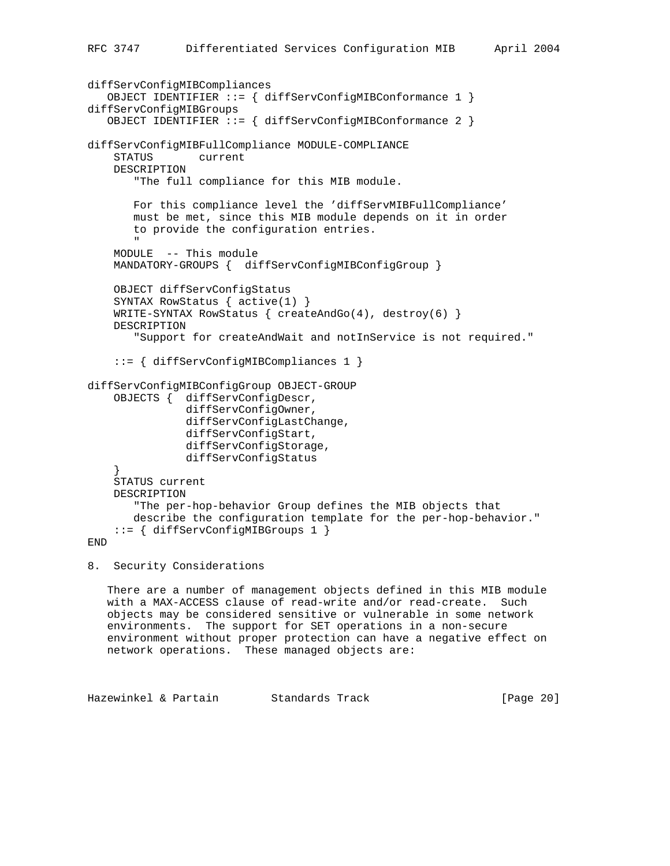```
diffServConfigMIBCompliances
    OBJECT IDENTIFIER ::= { diffServConfigMIBConformance 1 }
diffServConfigMIBGroups
    OBJECT IDENTIFIER ::= { diffServConfigMIBConformance 2 }
diffServConfigMIBFullCompliance MODULE-COMPLIANCE
     STATUS current
     DESCRIPTION
        "The full compliance for this MIB module.
        For this compliance level the 'diffServMIBFullCompliance'
        must be met, since this MIB module depends on it in order
        to provide the configuration entries.
 "
     MODULE -- This module
     MANDATORY-GROUPS { diffServConfigMIBConfigGroup }
     OBJECT diffServConfigStatus
     SYNTAX RowStatus { active(1) }
    WRITE-SYNTAX RowStatus \{ \text{createAndGo(4)}, \text{destroy(6)} \} DESCRIPTION
        "Support for createAndWait and notInService is not required."
     ::= { diffServConfigMIBCompliances 1 }
diffServConfigMIBConfigGroup OBJECT-GROUP
     OBJECTS { diffServConfigDescr,
                diffServConfigOwner,
                diffServConfigLastChange,
                diffServConfigStart,
                diffServConfigStorage,
                diffServConfigStatus
     }
     STATUS current
     DESCRIPTION
        "The per-hop-behavior Group defines the MIB objects that
        describe the configuration template for the per-hop-behavior."
     ::= { diffServConfigMIBGroups 1 }
END
```
8. Security Considerations

 There are a number of management objects defined in this MIB module with a MAX-ACCESS clause of read-write and/or read-create. Such objects may be considered sensitive or vulnerable in some network environments. The support for SET operations in a non-secure environment without proper protection can have a negative effect on network operations. These managed objects are:

Hazewinkel & Partain Standards Track [Page 20]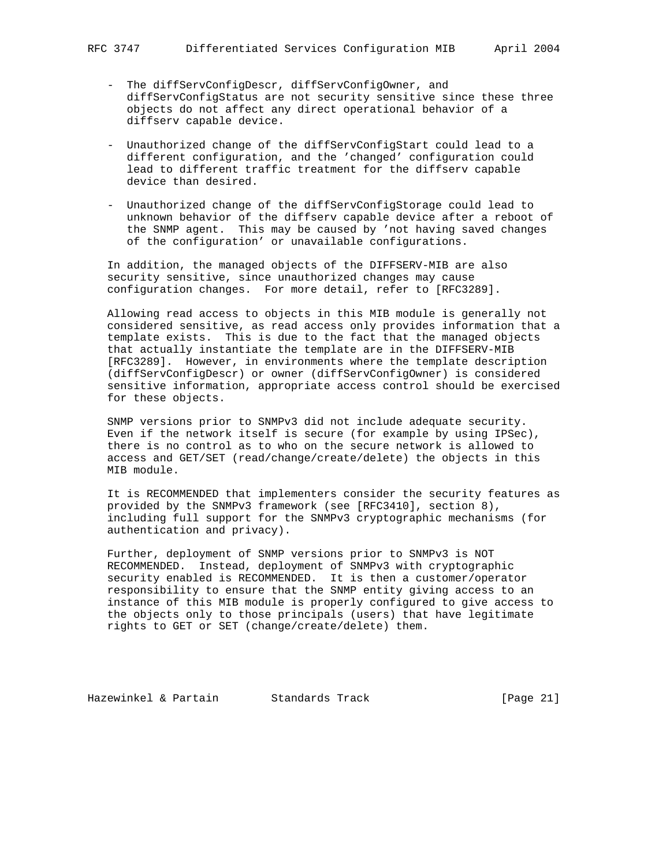- The diffServConfigDescr, diffServConfigOwner, and diffServConfigStatus are not security sensitive since these three objects do not affect any direct operational behavior of a diffserv capable device.
- Unauthorized change of the diffServConfigStart could lead to a different configuration, and the 'changed' configuration could lead to different traffic treatment for the diffserv capable device than desired.
- Unauthorized change of the diffServConfigStorage could lead to unknown behavior of the diffserv capable device after a reboot of the SNMP agent. This may be caused by 'not having saved changes of the configuration' or unavailable configurations.

 In addition, the managed objects of the DIFFSERV-MIB are also security sensitive, since unauthorized changes may cause configuration changes. For more detail, refer to [RFC3289].

 Allowing read access to objects in this MIB module is generally not considered sensitive, as read access only provides information that a template exists. This is due to the fact that the managed objects that actually instantiate the template are in the DIFFSERV-MIB [RFC3289]. However, in environments where the template description (diffServConfigDescr) or owner (diffServConfigOwner) is considered sensitive information, appropriate access control should be exercised for these objects.

 SNMP versions prior to SNMPv3 did not include adequate security. Even if the network itself is secure (for example by using IPSec), there is no control as to who on the secure network is allowed to access and GET/SET (read/change/create/delete) the objects in this MIB module.

 It is RECOMMENDED that implementers consider the security features as provided by the SNMPv3 framework (see [RFC3410], section 8), including full support for the SNMPv3 cryptographic mechanisms (for authentication and privacy).

 Further, deployment of SNMP versions prior to SNMPv3 is NOT RECOMMENDED. Instead, deployment of SNMPv3 with cryptographic security enabled is RECOMMENDED. It is then a customer/operator responsibility to ensure that the SNMP entity giving access to an instance of this MIB module is properly configured to give access to the objects only to those principals (users) that have legitimate rights to GET or SET (change/create/delete) them.

Hazewinkel & Partain Standards Track [Page 21]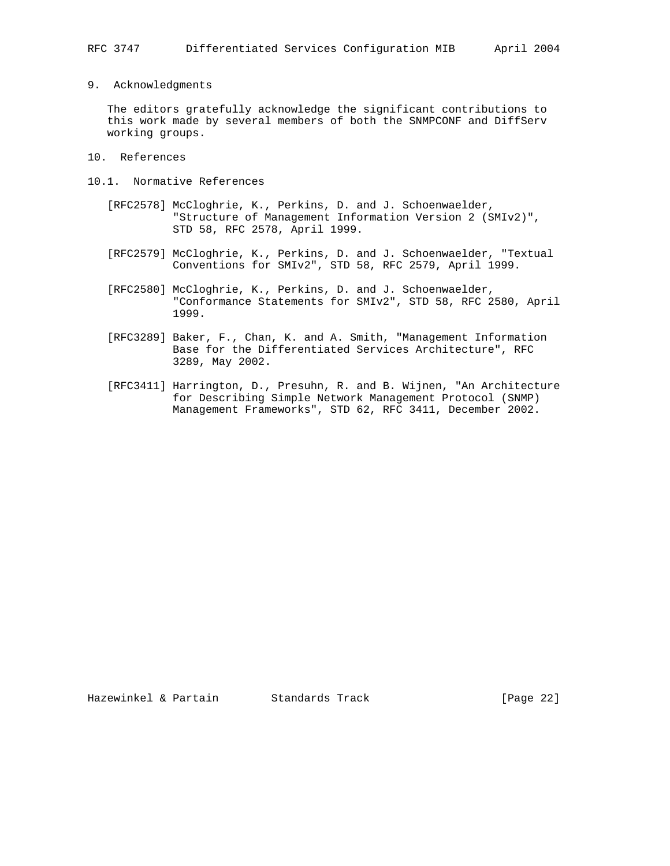9. Acknowledgments

 The editors gratefully acknowledge the significant contributions to this work made by several members of both the SNMPCONF and DiffServ working groups.

- 10. References
- 10.1. Normative References
	- [RFC2578] McCloghrie, K., Perkins, D. and J. Schoenwaelder, "Structure of Management Information Version 2 (SMIv2)", STD 58, RFC 2578, April 1999.
	- [RFC2579] McCloghrie, K., Perkins, D. and J. Schoenwaelder, "Textual Conventions for SMIv2", STD 58, RFC 2579, April 1999.
	- [RFC2580] McCloghrie, K., Perkins, D. and J. Schoenwaelder, "Conformance Statements for SMIv2", STD 58, RFC 2580, April 1999.
	- [RFC3289] Baker, F., Chan, K. and A. Smith, "Management Information Base for the Differentiated Services Architecture", RFC 3289, May 2002.
	- [RFC3411] Harrington, D., Presuhn, R. and B. Wijnen, "An Architecture for Describing Simple Network Management Protocol (SNMP) Management Frameworks", STD 62, RFC 3411, December 2002.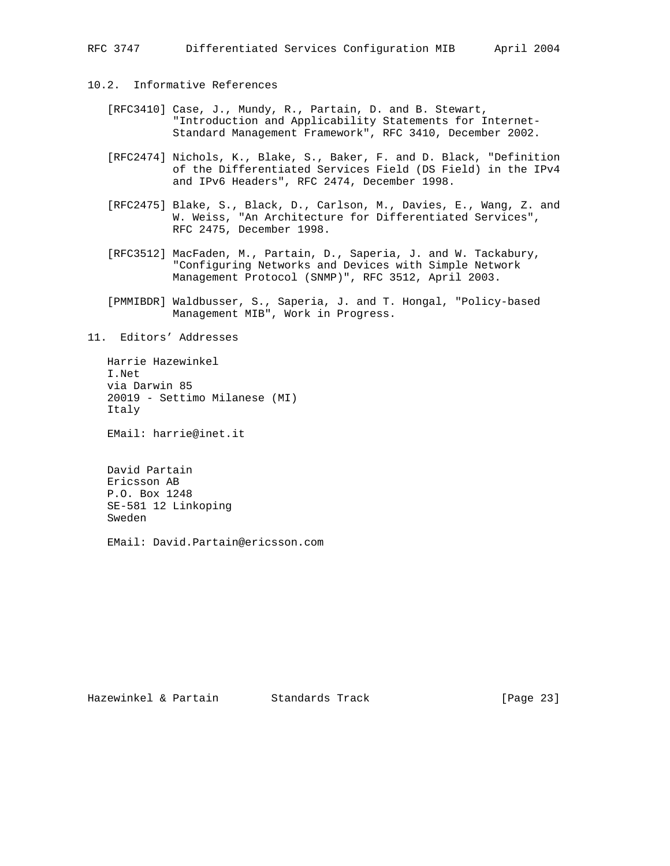# 10.2. Informative References

- [RFC3410] Case, J., Mundy, R., Partain, D. and B. Stewart, "Introduction and Applicability Statements for Internet- Standard Management Framework", RFC 3410, December 2002.
- [RFC2474] Nichols, K., Blake, S., Baker, F. and D. Black, "Definition of the Differentiated Services Field (DS Field) in the IPv4 and IPv6 Headers", RFC 2474, December 1998.
- [RFC2475] Blake, S., Black, D., Carlson, M., Davies, E., Wang, Z. and W. Weiss, "An Architecture for Differentiated Services", RFC 2475, December 1998.
- [RFC3512] MacFaden, M., Partain, D., Saperia, J. and W. Tackabury, "Configuring Networks and Devices with Simple Network Management Protocol (SNMP)", RFC 3512, April 2003.
- [PMMIBDR] Waldbusser, S., Saperia, J. and T. Hongal, "Policy-based Management MIB", Work in Progress.

11. Editors' Addresses

 Harrie Hazewinkel I.Net via Darwin 85 20019 - Settimo Milanese (MI) Italy

EMail: harrie@inet.it

 David Partain Ericsson AB P.O. Box 1248 SE-581 12 Linkoping Sweden

EMail: David.Partain@ericsson.com

Hazewinkel & Partain Standards Track [Page 23]